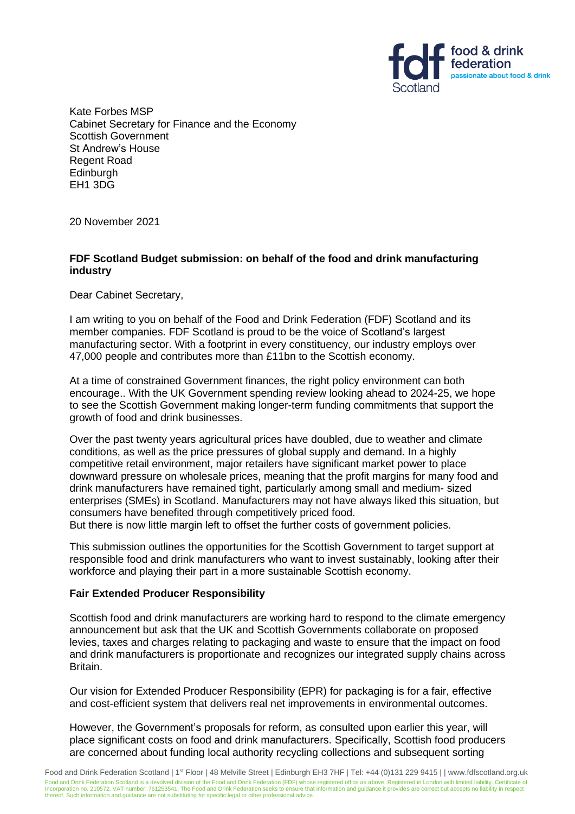

Kate Forbes MSP Cabinet Secretary for Finance and the Economy Scottish Government St Andrew's House Regent Road Edinburgh EH1 3DG

20 November 2021

## **FDF Scotland Budget submission: on behalf of the food and drink manufacturing industry**

Dear Cabinet Secretary,

I am writing to you on behalf of the Food and Drink Federation (FDF) Scotland and its member companies. FDF Scotland is proud to be the voice of Scotland's largest manufacturing sector. With a footprint in every constituency, our industry employs over 47,000 people and contributes more than £11bn to the Scottish economy.

At a time of constrained Government finances, the right policy environment can both encourage.. With the UK Government spending review looking ahead to 2024-25, we hope to see the Scottish Government making longer-term funding commitments that support the growth of food and drink businesses.

Over the past twenty years agricultural prices have doubled, due to weather and climate conditions, as well as the price pressures of global supply and demand. In a highly competitive retail environment, major retailers have significant market power to place downward pressure on wholesale prices, meaning that the profit margins for many food and drink manufacturers have remained tight, particularly among small and medium- sized enterprises (SMEs) in Scotland. Manufacturers may not have always liked this situation, but consumers have benefited through competitively priced food.

But there is now little margin left to offset the further costs of government policies.

This submission outlines the opportunities for the Scottish Government to target support at responsible food and drink manufacturers who want to invest sustainably, looking after their workforce and playing their part in a more sustainable Scottish economy.

# **Fair Extended Producer Responsibility**

Scottish food and drink manufacturers are working hard to respond to the climate emergency announcement but ask that the UK and Scottish Governments collaborate on proposed levies, taxes and charges relating to packaging and waste to ensure that the impact on food and drink manufacturers is proportionate and recognizes our integrated supply chains across Britain.

Our vision for Extended Producer Responsibility (EPR) for packaging is for a fair, effective and cost-efficient system that delivers real net improvements in environmental outcomes.

However, the Government's proposals for reform, as consulted upon earlier this year, will place significant costs on food and drink manufacturers. Specifically, Scottish food producers are concerned about funding local authority recycling collections and subsequent sorting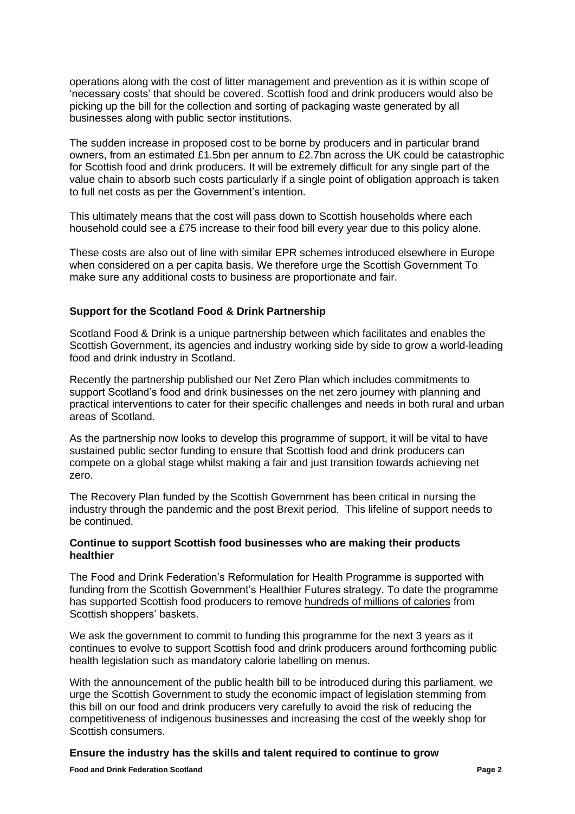operations along with the cost of litter management and prevention as it is within scope of 'necessary costs' that should be covered. Scottish food and drink producers would also be picking up the bill for the collection and sorting of packaging waste generated by all businesses along with public sector institutions.

The sudden increase in proposed cost to be borne by producers and in particular brand owners, from an estimated £1.5bn per annum to £2.7bn across the UK could be catastrophic for Scottish food and drink producers. It will be extremely difficult for any single part of the value chain to absorb such costs particularly if a single point of obligation approach is taken to full net costs as per the Government's intention.

This ultimately means that the cost will pass down to Scottish households where each household could see a £75 increase to their food bill every year due to this policy alone.

These costs are also out of line with similar EPR schemes introduced elsewhere in Europe when considered on a per capita basis. We therefore urge the Scottish Government To make sure any additional costs to business are proportionate and fair.

### **Support for the Scotland Food & Drink Partnership**

Scotland Food & Drink is a unique partnership between which facilitates and enables the Scottish Government, its agencies and industry working side by side to grow a world-leading food and drink industry in Scotland.

Recently the partnership published our Net Zero Plan which includes commitments to support Scotland's food and drink businesses on the net zero journey with planning and practical interventions to cater for their specific challenges and needs in both rural and urban areas of Scotland.

As the partnership now looks to develop this programme of support, it will be vital to have sustained public sector funding to ensure that Scottish food and drink producers can compete on a global stage whilst making a fair and just transition towards achieving net zero.

The Recovery Plan funded by the Scottish Government has been critical in nursing the industry through the pandemic and the post Brexit period. This lifeline of support needs to be continued.

#### **Continue to support Scottish food businesses who are making their products healthier**

The Food and Drink Federation's Reformulation for Health Programme is supported with funding from the Scottish Government's Healthier Futures strategy. To date the programme has supported Scottish food producers to remove hundreds of millions of calories from Scottish shoppers' baskets.

We ask the government to commit to funding this programme for the next 3 years as it continues to evolve to support Scottish food and drink producers around forthcoming public health legislation such as mandatory calorie labelling on menus.

With the announcement of the public health bill to be introduced during this parliament, we urge the Scottish Government to study the economic impact of legislation stemming from this bill on our food and drink producers very carefully to avoid the risk of reducing the competitiveness of indigenous businesses and increasing the cost of the weekly shop for Scottish consumers.

# **Ensure the industry has the skills and talent required to continue to grow**

**Food and Drink Federation Scotland Page 2**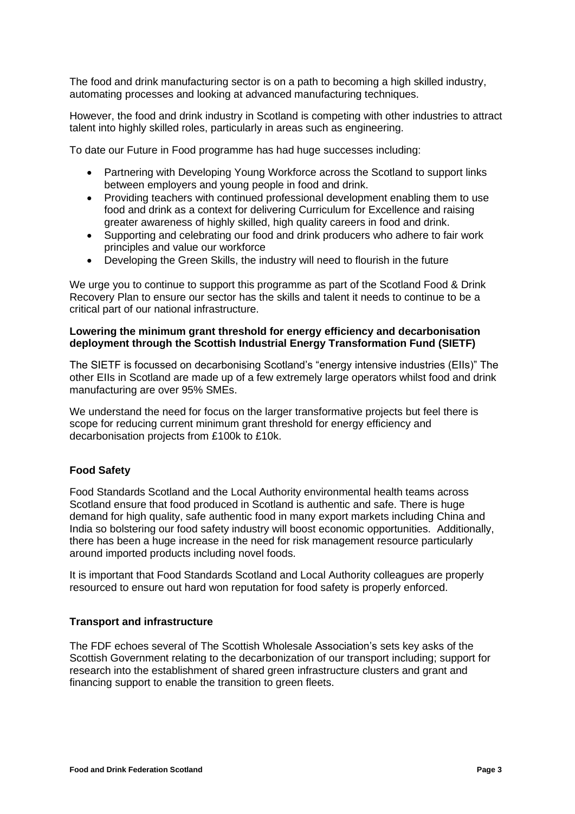The food and drink manufacturing sector is on a path to becoming a high skilled industry, automating processes and looking at advanced manufacturing techniques.

However, the food and drink industry in Scotland is competing with other industries to attract talent into highly skilled roles, particularly in areas such as engineering.

To date our Future in Food programme has had huge successes including:

- Partnering with Developing Young Workforce across the Scotland to support links between employers and young people in food and drink.
- Providing teachers with continued professional development enabling them to use food and drink as a context for delivering Curriculum for Excellence and raising greater awareness of highly skilled, high quality careers in food and drink.
- Supporting and celebrating our food and drink producers who adhere to fair work principles and value our workforce
- Developing the Green Skills, the industry will need to flourish in the future

We urge you to continue to support this programme as part of the Scotland Food & Drink Recovery Plan to ensure our sector has the skills and talent it needs to continue to be a critical part of our national infrastructure.

#### **Lowering the minimum grant threshold for energy efficiency and decarbonisation deployment through the Scottish Industrial Energy Transformation Fund (SIETF)**

The SIETF is focussed on decarbonising Scotland's "energy intensive industries (EIIs)" The other EIIs in Scotland are made up of a few extremely large operators whilst food and drink manufacturing are over 95% SMEs.

We understand the need for focus on the larger transformative projects but feel there is scope for reducing current minimum grant threshold for energy efficiency and decarbonisation projects from £100k to £10k.

# **Food Safety**

Food Standards Scotland and the Local Authority environmental health teams across Scotland ensure that food produced in Scotland is authentic and safe. There is huge demand for high quality, safe authentic food in many export markets including China and India so bolstering our food safety industry will boost economic opportunities. Additionally, there has been a huge increase in the need for risk management resource particularly around imported products including novel foods.

It is important that Food Standards Scotland and Local Authority colleagues are properly resourced to ensure out hard won reputation for food safety is properly enforced.

#### **Transport and infrastructure**

The FDF echoes several of The Scottish Wholesale Association's sets key asks of the Scottish Government relating to the decarbonization of our transport including; support for research into the establishment of shared green infrastructure clusters and grant and financing support to enable the transition to green fleets.